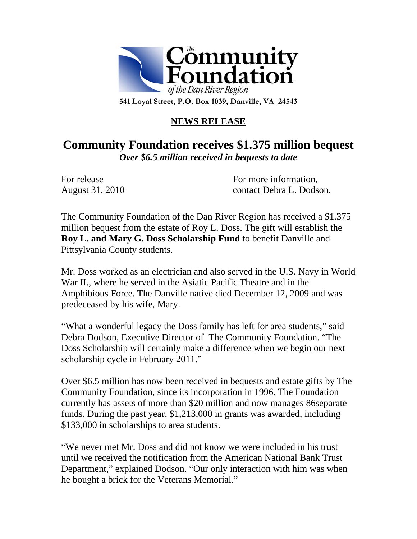

## **NEWS RELEASE**

## **Community Foundation receives \$1.375 million bequest**  *Over \$6.5 million received in bequests to date*

For release Formore information, August 31, 2010 contact Debra L. Dodson.

The Community Foundation of the Dan River Region has received a \$1.375 million bequest from the estate of Roy L. Doss. The gift will establish the **Roy L. and Mary G. Doss Scholarship Fund** to benefit Danville and Pittsylvania County students.

Mr. Doss worked as an electrician and also served in the U.S. Navy in World War II., where he served in the Asiatic Pacific Theatre and in the Amphibious Force. The Danville native died December 12, 2009 and was predeceased by his wife, Mary.

"What a wonderful legacy the Doss family has left for area students," said Debra Dodson, Executive Director of The Community Foundation. "The Doss Scholarship will certainly make a difference when we begin our next scholarship cycle in February 2011."

Over \$6.5 million has now been received in bequests and estate gifts by The Community Foundation, since its incorporation in 1996. The Foundation currently has assets of more than \$20 million and now manages 86separate funds. During the past year, \$1,213,000 in grants was awarded, including \$133,000 in scholarships to area students.

"We never met Mr. Doss and did not know we were included in his trust until we received the notification from the American National Bank Trust Department," explained Dodson. "Our only interaction with him was when he bought a brick for the Veterans Memorial."